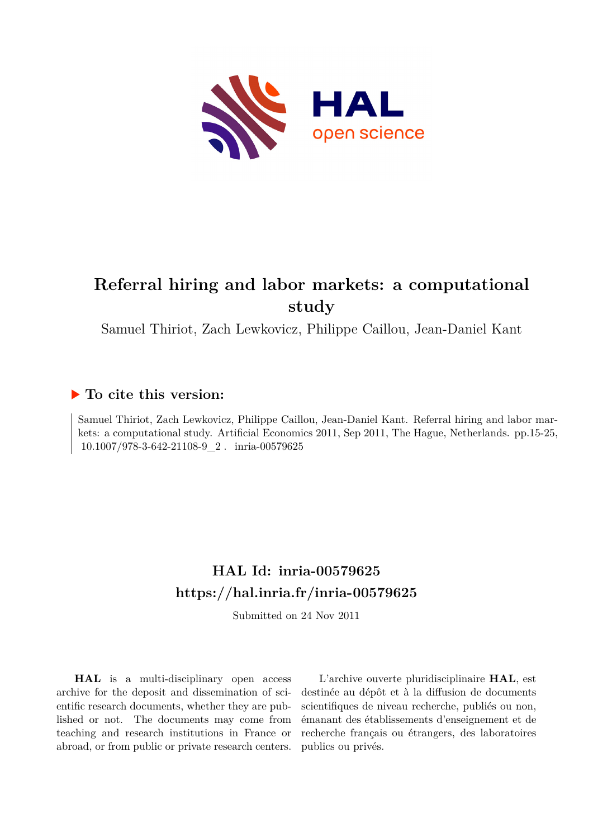

# **Referral hiring and labor markets: a computational study**

Samuel Thiriot, Zach Lewkovicz, Philippe Caillou, Jean-Daniel Kant

### **To cite this version:**

Samuel Thiriot, Zach Lewkovicz, Philippe Caillou, Jean-Daniel Kant. Referral hiring and labor markets: a computational study. Artificial Economics 2011, Sep 2011, The Hague, Netherlands. pp.15-25, 10.1007/978-3-642-21108-9\_2. inria-00579625

## **HAL Id: inria-00579625 <https://hal.inria.fr/inria-00579625>**

Submitted on 24 Nov 2011

**HAL** is a multi-disciplinary open access archive for the deposit and dissemination of scientific research documents, whether they are published or not. The documents may come from teaching and research institutions in France or abroad, or from public or private research centers.

L'archive ouverte pluridisciplinaire **HAL**, est destinée au dépôt et à la diffusion de documents scientifiques de niveau recherche, publiés ou non, émanant des établissements d'enseignement et de recherche français ou étrangers, des laboratoires publics ou privés.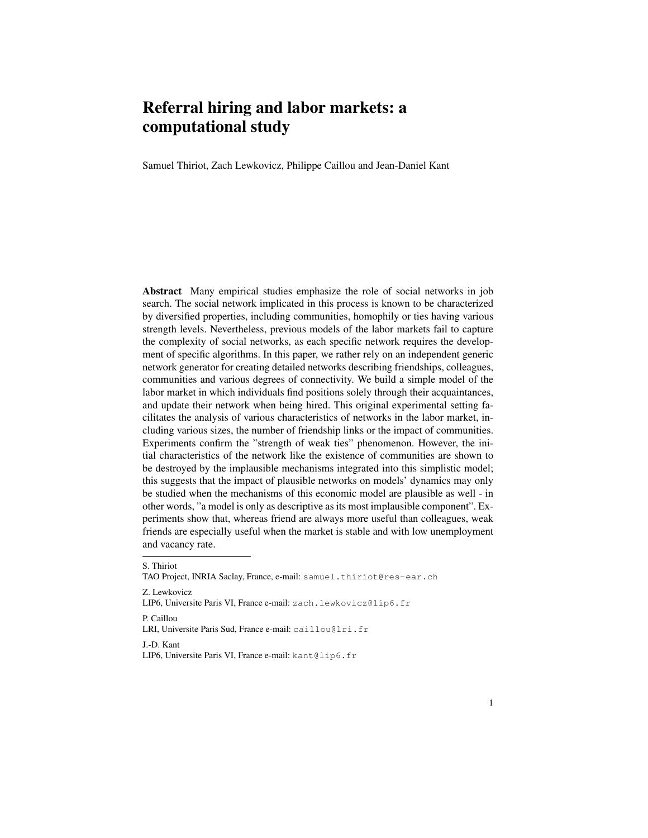## Referral hiring and labor markets: a computational study

Samuel Thiriot, Zach Lewkovicz, Philippe Caillou and Jean-Daniel Kant

Abstract Many empirical studies emphasize the role of social networks in job search. The social network implicated in this process is known to be characterized by diversified properties, including communities, homophily or ties having various strength levels. Nevertheless, previous models of the labor markets fail to capture the complexity of social networks, as each specific network requires the development of specific algorithms. In this paper, we rather rely on an independent generic network generator for creating detailed networks describing friendships, colleagues, communities and various degrees of connectivity. We build a simple model of the labor market in which individuals find positions solely through their acquaintances, and update their network when being hired. This original experimental setting facilitates the analysis of various characteristics of networks in the labor market, including various sizes, the number of friendship links or the impact of communities. Experiments confirm the "strength of weak ties" phenomenon. However, the initial characteristics of the network like the existence of communities are shown to be destroyed by the implausible mechanisms integrated into this simplistic model; this suggests that the impact of plausible networks on models' dynamics may only be studied when the mechanisms of this economic model are plausible as well - in other words, "a model is only as descriptive as its most implausible component". Experiments show that, whereas friend are always more useful than colleagues, weak friends are especially useful when the market is stable and with low unemployment and vacancy rate.

S. Thiriot

Z. Lewkovicz LIP6, Universite Paris VI, France e-mail: zach.lewkovicz@lip6.fr

P. Caillou LRI, Universite Paris Sud, France e-mail: caillou@lri.fr

J.-D. Kant

LIP6, Universite Paris VI, France e-mail: kant@lip6.fr

TAO Project, INRIA Saclay, France, e-mail: samuel.thiriot@res-ear.ch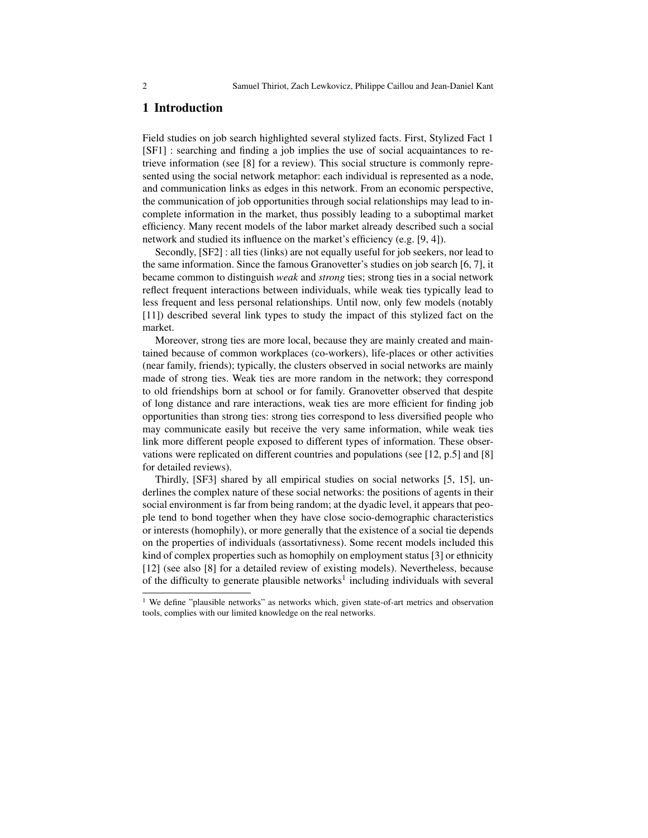#### 1 Introduction

Field studies on job search highlighted several stylized facts. First, Stylized Fact 1 [SF1] : searching and finding a job implies the use of social acquaintances to retrieve information (see [8] for a review). This social structure is commonly represented using the social network metaphor: each individual is represented as a node, and communication links as edges in this network. From an economic perspective, the communication of job opportunities through social relationships may lead to incomplete information in the market, thus possibly leading to a suboptimal market efficiency. Many recent models of the labor market already described such a social network and studied its influence on the market's efficiency (e.g. [9, 4]).

Secondly, [SF2] : all ties (links) are not equally useful for job seekers, nor lead to the same information. Since the famous Granovetter's studies on job search [6, 7], it became common to distinguish *weak* and *strong* ties; strong ties in a social network reflect frequent interactions between individuals, while weak ties typically lead to less frequent and less personal relationships. Until now, only few models (notably [11]) described several link types to study the impact of this stylized fact on the market.

Moreover, strong ties are more local, because they are mainly created and maintained because of common workplaces (co-workers), life-places or other activities (near family, friends); typically, the clusters observed in social networks are mainly made of strong ties. Weak ties are more random in the network; they correspond to old friendships born at school or for family. Granovetter observed that despite of long distance and rare interactions, weak ties are more efficient for finding job opportunities than strong ties: strong ties correspond to less diversified people who may communicate easily but receive the very same information, while weak ties link more different people exposed to different types of information. These observations were replicated on different countries and populations (see [12, p.5] and [8] for detailed reviews).

Thirdly, [SF3] shared by all empirical studies on social networks [5, 15], underlines the complex nature of these social networks: the positions of agents in their social environment is far from being random; at the dyadic level, it appears that people tend to bond together when they have close socio-demographic characteristics or interests (homophily), or more generally that the existence of a social tie depends on the properties of individuals (assortativness). Some recent models included this kind of complex properties such as homophily on employment status [3] or ethnicity [12] (see also [8] for a detailed review of existing models). Nevertheless, because of the difficulty to generate plausible networks<sup>1</sup> including individuals with several

<sup>&</sup>lt;sup>1</sup> We define "plausible networks" as networks which, given state-of-art metrics and observation tools, complies with our limited knowledge on the real networks.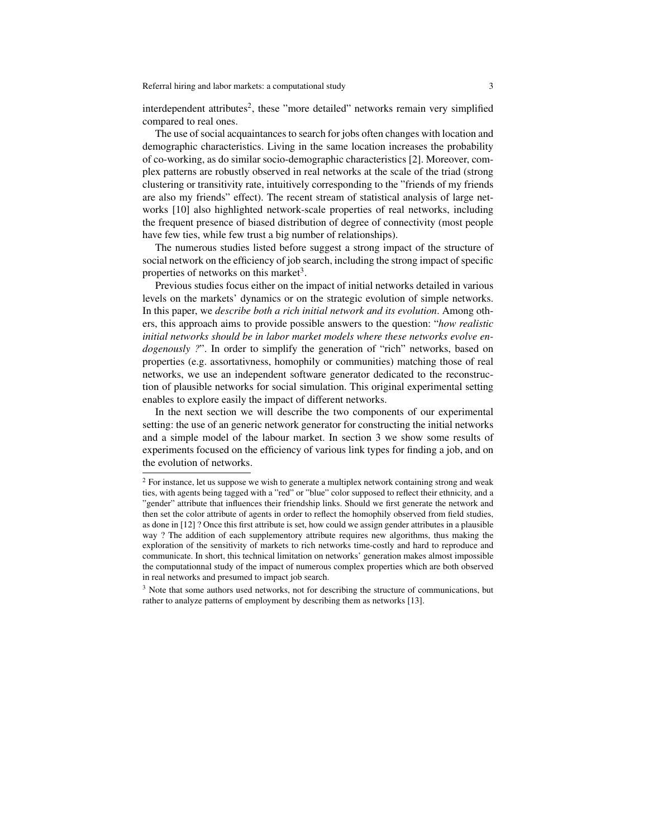#### Referral hiring and labor markets: a computational study 3

interdependent attributes<sup>2</sup>, these "more detailed" networks remain very simplified compared to real ones.

The use of social acquaintances to search for jobs often changes with location and demographic characteristics. Living in the same location increases the probability of co-working, as do similar socio-demographic characteristics [2]. Moreover, complex patterns are robustly observed in real networks at the scale of the triad (strong clustering or transitivity rate, intuitively corresponding to the "friends of my friends are also my friends" effect). The recent stream of statistical analysis of large networks [10] also highlighted network-scale properties of real networks, including the frequent presence of biased distribution of degree of connectivity (most people have few ties, while few trust a big number of relationships).

The numerous studies listed before suggest a strong impact of the structure of social network on the efficiency of job search, including the strong impact of specific properties of networks on this market<sup>3</sup>.

Previous studies focus either on the impact of initial networks detailed in various levels on the markets' dynamics or on the strategic evolution of simple networks. In this paper, we *describe both a rich initial network and its evolution*. Among others, this approach aims to provide possible answers to the question: "*how realistic initial networks should be in labor market models where these networks evolve endogenously ?"*. In order to simplify the generation of "rich" networks, based on properties (e.g. assortativness, homophily or communities) matching those of real networks, we use an independent software generator dedicated to the reconstruction of plausible networks for social simulation. This original experimental setting enables to explore easily the impact of different networks.

In the next section we will describe the two components of our experimental setting: the use of an generic network generator for constructing the initial networks and a simple model of the labour market. In section 3 we show some results of experiments focused on the efficiency of various link types for finding a job, and on the evolution of networks.

<sup>&</sup>lt;sup>2</sup> For instance, let us suppose we wish to generate a multiplex network containing strong and weak ties, with agents being tagged with a "red" or "blue" color supposed to reflect their ethnicity, and a "gender" attribute that influences their friendship links. Should we first generate the network and then set the color attribute of agents in order to reflect the homophily observed from field studies, as done in [12] ? Once this first attribute is set, how could we assign gender attributes in a plausible way ? The addition of each supplementory attribute requires new algorithms, thus making the exploration of the sensitivity of markets to rich networks time-costly and hard to reproduce and communicate. In short, this technical limitation on networks' generation makes almost impossible the computationnal study of the impact of numerous complex properties which are both observed in real networks and presumed to impact job search.

<sup>&</sup>lt;sup>3</sup> Note that some authors used networks, not for describing the structure of communications, but rather to analyze patterns of employment by describing them as networks [13].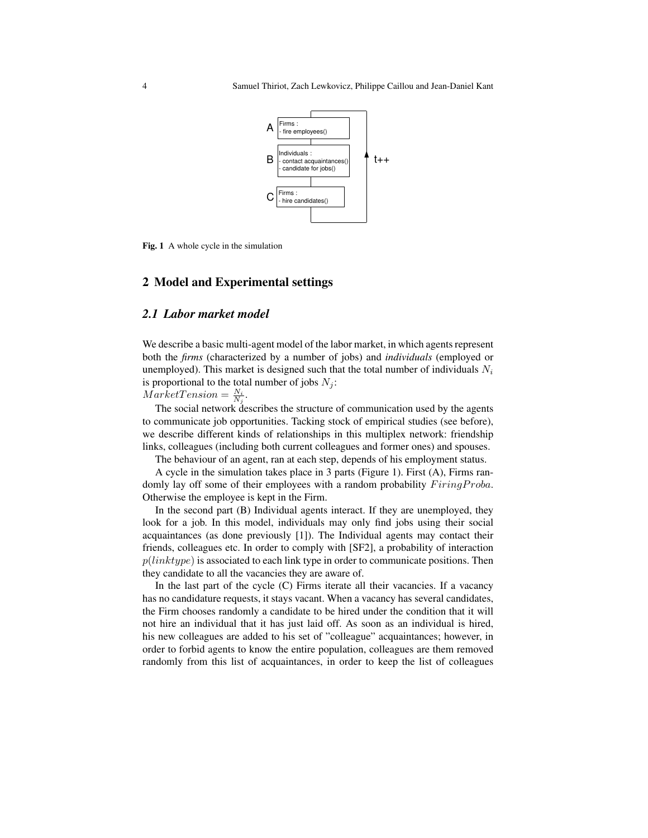

Fig. 1 A whole cycle in the simulation

#### 2 Model and Experimental settings

#### *2.1 Labor market model*

We describe a basic multi-agent model of the labor market, in which agents represent both the *firms* (characterized by a number of jobs) and *individuals* (employed or unemployed). This market is designed such that the total number of individuals  $N_i$ is proportional to the total number of jobs  $N_i$ :

 $Market Tension = \frac{N_i}{N_j}.$ 

The social network describes the structure of communication used by the agents to communicate job opportunities. Tacking stock of empirical studies (see before), we describe different kinds of relationships in this multiplex network: friendship links, colleagues (including both current colleagues and former ones) and spouses.

The behaviour of an agent, ran at each step, depends of his employment status.

A cycle in the simulation takes place in 3 parts (Figure 1). First (A), Firms randomly lay off some of their employees with a random probability  $Firing Proba$ . Otherwise the employee is kept in the Firm.

In the second part (B) Individual agents interact. If they are unemployed, they look for a job. In this model, individuals may only find jobs using their social acquaintances (as done previously [1]). The Individual agents may contact their friends, colleagues etc. In order to comply with [SF2], a probability of interaction  $p(linktype)$  is associated to each link type in order to communicate positions. Then they candidate to all the vacancies they are aware of.

In the last part of the cycle (C) Firms iterate all their vacancies. If a vacancy has no candidature requests, it stays vacant. When a vacancy has several candidates, the Firm chooses randomly a candidate to be hired under the condition that it will not hire an individual that it has just laid off. As soon as an individual is hired, his new colleagues are added to his set of "colleague" acquaintances; however, in order to forbid agents to know the entire population, colleagues are them removed randomly from this list of acquaintances, in order to keep the list of colleagues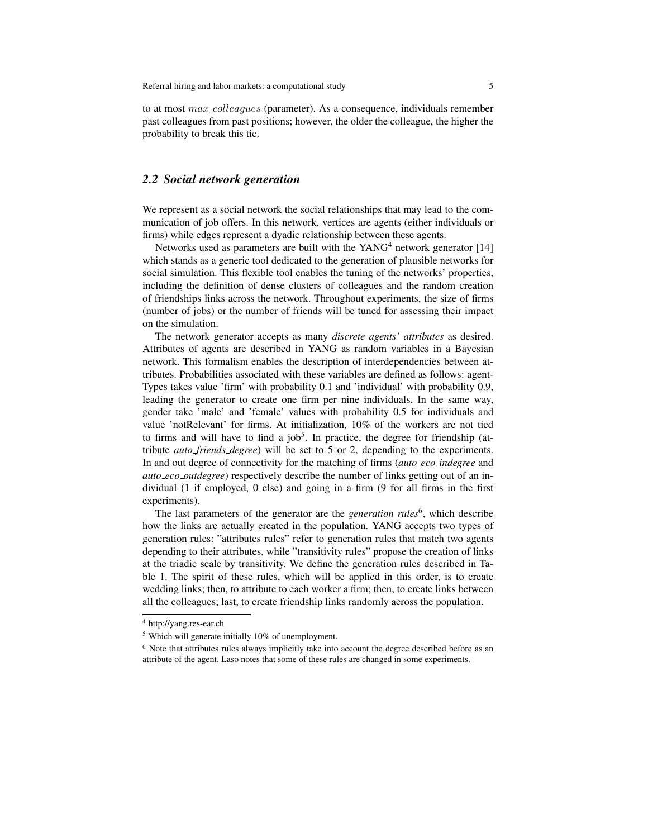to at most max colleagues (parameter). As a consequence, individuals remember past colleagues from past positions; however, the older the colleague, the higher the probability to break this tie.

#### *2.2 Social network generation*

We represent as a social network the social relationships that may lead to the communication of job offers. In this network, vertices are agents (either individuals or firms) while edges represent a dyadic relationship between these agents.

Networks used as parameters are built with the  $YANG<sup>4</sup>$  network generator [14] which stands as a generic tool dedicated to the generation of plausible networks for social simulation. This flexible tool enables the tuning of the networks' properties, including the definition of dense clusters of colleagues and the random creation of friendships links across the network. Throughout experiments, the size of firms (number of jobs) or the number of friends will be tuned for assessing their impact on the simulation.

The network generator accepts as many *discrete agents' attributes* as desired. Attributes of agents are described in YANG as random variables in a Bayesian network. This formalism enables the description of interdependencies between attributes. Probabilities associated with these variables are defined as follows: agent-Types takes value 'firm' with probability 0.1 and 'individual' with probability 0.9, leading the generator to create one firm per nine individuals. In the same way, gender take 'male' and 'female' values with probability 0.5 for individuals and value 'notRelevant' for firms. At initialization, 10% of the workers are not tied to firms and will have to find a job<sup>5</sup>. In practice, the degree for friendship (attribute *auto friends degree*) will be set to 5 or 2, depending to the experiments. In and out degree of connectivity for the matching of firms (*auto eco indegree* and *auto eco outdegree*) respectively describe the number of links getting out of an individual (1 if employed, 0 else) and going in a firm (9 for all firms in the first experiments).

The last parameters of the generator are the *generation rules*<sup>6</sup>, which describe how the links are actually created in the population. YANG accepts two types of generation rules: "attributes rules" refer to generation rules that match two agents depending to their attributes, while "transitivity rules" propose the creation of links at the triadic scale by transitivity. We define the generation rules described in Table 1. The spirit of these rules, which will be applied in this order, is to create wedding links; then, to attribute to each worker a firm; then, to create links between all the colleagues; last, to create friendship links randomly across the population.

<sup>4</sup> http://yang.res-ear.ch

<sup>5</sup> Which will generate initially 10% of unemployment.

<sup>&</sup>lt;sup>6</sup> Note that attributes rules always implicitly take into account the degree described before as an attribute of the agent. Laso notes that some of these rules are changed in some experiments.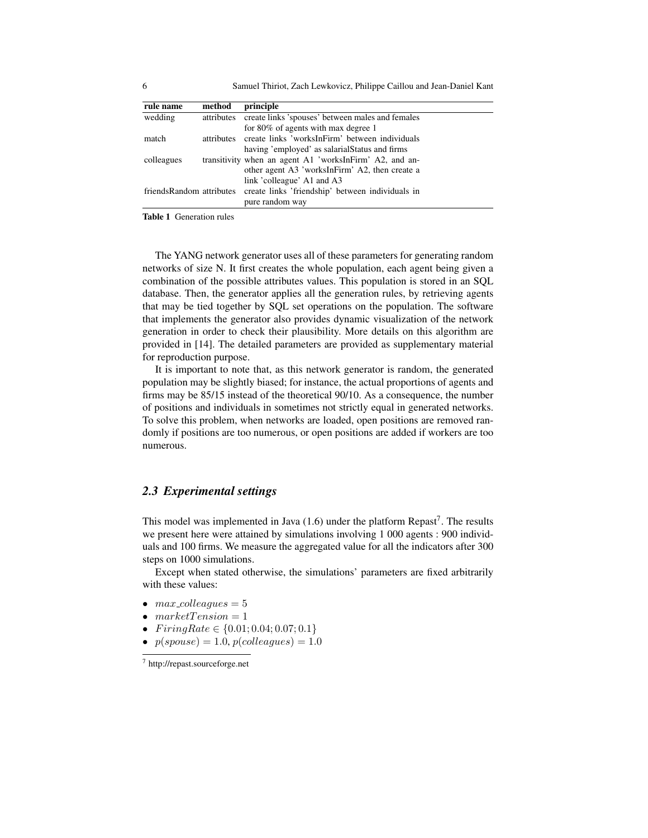6 Samuel Thiriot, Zach Lewkovicz, Philippe Caillou and Jean-Daniel Kant

| rule name                | method     | principle                                               |
|--------------------------|------------|---------------------------------------------------------|
| wedding                  | attributes | create links 'spouses' between males and females        |
|                          |            | for 80% of agents with max degree 1                     |
| match                    | attributes | create links 'worksInFirm' between individuals          |
|                          |            | having 'employed' as salarial Status and firms          |
| colleagues               |            | transitivity when an agent A1 'worksInFirm' A2, and an- |
|                          |            | other agent A3 'worksInFirm' A2, then create a          |
|                          |            | link 'colleague' A1 and A3                              |
| friendsRandom attributes |            | create links 'friendship' between individuals in        |
|                          |            | pure random way                                         |

Table 1 Generation rules

The YANG network generator uses all of these parameters for generating random networks of size N. It first creates the whole population, each agent being given a combination of the possible attributes values. This population is stored in an SQL database. Then, the generator applies all the generation rules, by retrieving agents that may be tied together by SQL set operations on the population. The software that implements the generator also provides dynamic visualization of the network generation in order to check their plausibility. More details on this algorithm are provided in [14]. The detailed parameters are provided as supplementary material for reproduction purpose.

It is important to note that, as this network generator is random, the generated population may be slightly biased; for instance, the actual proportions of agents and firms may be 85/15 instead of the theoretical 90/10. As a consequence, the number of positions and individuals in sometimes not strictly equal in generated networks. To solve this problem, when networks are loaded, open positions are removed randomly if positions are too numerous, or open positions are added if workers are too numerous.

#### *2.3 Experimental settings*

This model was implemented in Java  $(1.6)$  under the platform Repast<sup>7</sup>. The results we present here were attained by simulations involving 1 000 agents : 900 individuals and 100 firms. We measure the aggregated value for all the indicators after 300 steps on 1000 simulations.

Except when stated otherwise, the simulations' parameters are fixed arbitrarily with these values:

- $max_{\text{colle} = 5}$
- $marketTension = 1$
- FiringRate  $\in \{0.01; 0.04; 0.07; 0.1\}$
- $p(spouse) = 1.0, p(colleagues) = 1.0$

<sup>7</sup> http://repast.sourceforge.net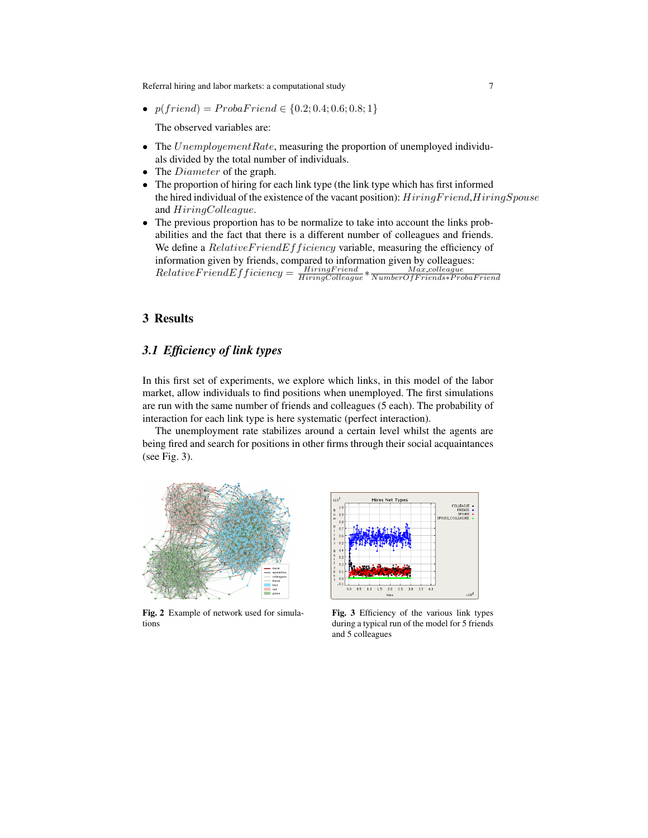Referral hiring and labor markets: a computational study 7

•  $p(friend) = ProbaFriend \in \{0.2; 0.4; 0.6; 0.8; 1\}$ 

The observed variables are:

- The  $Unemployement Rate$ , measuring the proportion of unemployed individuals divided by the total number of individuals.
- The  $Diameter$  of the graph.
- The proportion of hiring for each link type (the link type which has first informed the hired individual of the existence of the vacant position):  $HiringFriend, HiringSpouse$ and HiringColleague.
- The previous proportion has to be normalize to take into account the links probabilities and the fact that there is a different number of colleagues and friends. We define a  $Relative FriendEfficiency$  variable, measuring the efficiency of information given by friends, compared to information given by colleagues:  $Relative FriendEfficiency = \frac{HiringFriend}{HiringColledge*} * \frac{Max\_collapse}{NumberOfFriends*ProbaFriend}$

#### 3 Results

### *3.1 Efficiency of link types*

In this first set of experiments, we explore which links, in this model of the labor market, allow individuals to find positions when unemployed. The first simulations are run with the same number of friends and colleagues (5 each). The probability of interaction for each link type is here systematic (perfect interaction).

The unemployment rate stabilizes around a certain level whilst the agents are being fired and search for positions in other firms through their social acquaintances (see Fig. 3).



Fig. 2 Example of network used for simulations



Fig. 3 Efficiency of the various link types during a typical run of the model for 5 friends and 5 colleagues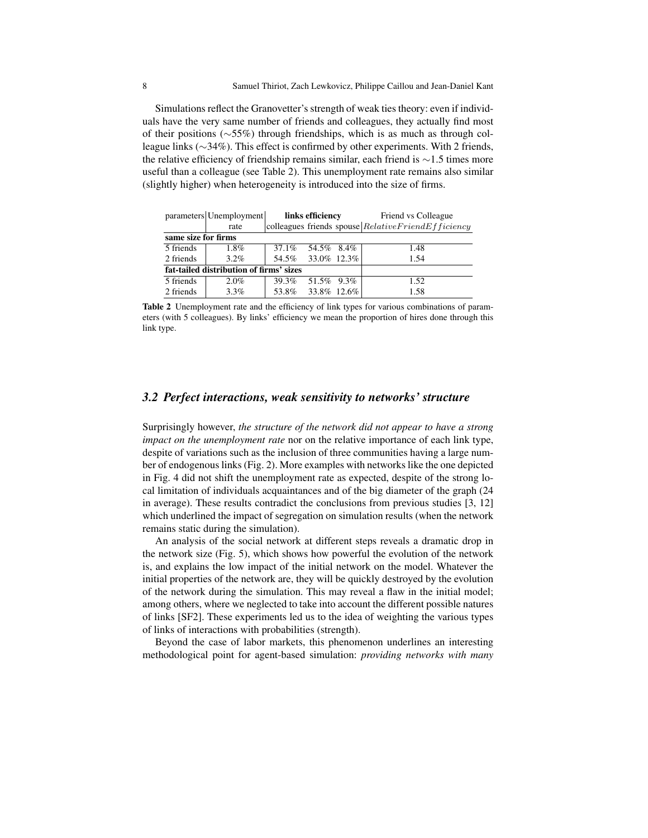Simulations reflect the Granovetter's strength of weak ties theory: even if individuals have the very same number of friends and colleagues, they actually find most of their positions (∼55%) through friendships, which is as much as through colleague links (∼34%). This effect is confirmed by other experiments. With 2 friends, the relative efficiency of friendship remains similar, each friend is ∼1.5 times more useful than a colleague (see Table 2). This unemployment rate remains also similar (slightly higher) when heterogeneity is introduced into the size of firms.

|                     | parameters   Unemployment               | links efficiency  |             |      | Friend vs Colleague                                  |  |  |  |  |
|---------------------|-----------------------------------------|-------------------|-------------|------|------------------------------------------------------|--|--|--|--|
|                     | rate                                    |                   |             |      | colleagues friends spouse $RelativeFriendEfficiency$ |  |  |  |  |
| same size for firms |                                         |                   |             |      |                                                      |  |  |  |  |
| 5 friends           | 1.8%                                    | 37.1%             | 54.5% 8.4%  |      | 1.48                                                 |  |  |  |  |
| 2 friends           | 3.2%                                    | 54.5% 33.0% 12.3% |             |      | 1.54                                                 |  |  |  |  |
|                     | fat-tailed distribution of firms' sizes |                   |             |      |                                                      |  |  |  |  |
| 5 friends           | $2.0\%$                                 | 39.3%             | 51.5%       | 9.3% | 1.52                                                 |  |  |  |  |
| 2 friends           | 3.3%                                    | 53.8%             | 33.8% 12.6% |      | 1.58                                                 |  |  |  |  |

Table 2 Unemployment rate and the efficiency of link types for various combinations of parameters (with 5 colleagues). By links' efficiency we mean the proportion of hires done through this link type.

#### *3.2 Perfect interactions, weak sensitivity to networks' structure*

Surprisingly however, *the structure of the network did not appear to have a strong impact on the unemployment rate* nor on the relative importance of each link type, despite of variations such as the inclusion of three communities having a large number of endogenous links (Fig. 2). More examples with networks like the one depicted in Fig. 4 did not shift the unemployment rate as expected, despite of the strong local limitation of individuals acquaintances and of the big diameter of the graph (24 in average). These results contradict the conclusions from previous studies [3, 12] which underlined the impact of segregation on simulation results (when the network remains static during the simulation).

An analysis of the social network at different steps reveals a dramatic drop in the network size (Fig. 5), which shows how powerful the evolution of the network is, and explains the low impact of the initial network on the model. Whatever the initial properties of the network are, they will be quickly destroyed by the evolution of the network during the simulation. This may reveal a flaw in the initial model; among others, where we neglected to take into account the different possible natures of links [SF2]. These experiments led us to the idea of weighting the various types of links of interactions with probabilities (strength).

Beyond the case of labor markets, this phenomenon underlines an interesting methodological point for agent-based simulation: *providing networks with many*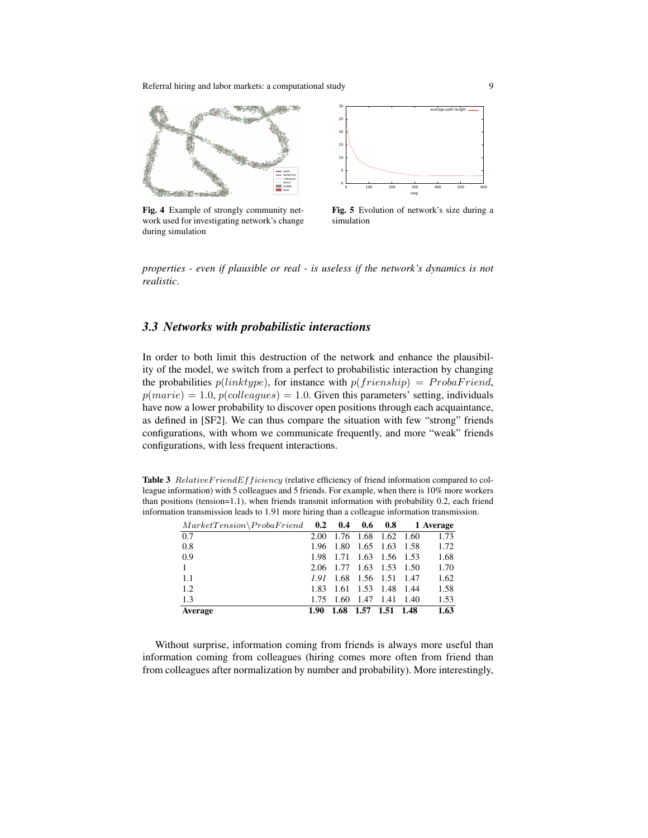Referral hiring and labor markets: a computational study 9



Fig. 4 Example of strongly community network used for investigating network's change during simulation



Fig. 5 Evolution of network's size during a simulation

*properties - even if plausible or real - is useless if the network's dynamics is not realistic*.

#### *3.3 Networks with probabilistic interactions*

In order to both limit this destruction of the network and enhance the plausibility of the model, we switch from a perfect to probabilistic interaction by changing the probabilities  $p(linktype)$ , for instance with  $p(frienship) = ProbaFinal$ ,  $p(marie) = 1.0, p(colleagues) = 1.0$ . Given this parameters' setting, individuals have now a lower probability to discover open positions through each acquaintance, as defined in [SF2]. We can thus compare the situation with few "strong" friends configurations, with whom we communicate frequently, and more "weak" friends configurations, with less frequent interactions.

Table 3 Relative Friend Efficiency (relative efficiency of friend information compared to colleague information) with 5 colleagues and 5 friends. For example, when there is 10% more workers than positions (tension=1.1), when friends transmit information with probability 0.2, each friend information transmission leads to 1.91 more hiring than a colleague information transmission.

| $MarketTension\backslash ProbaFinal$ 0.2 0.4 0.6 0.8 1 Average |      |                          |  |      |
|----------------------------------------------------------------|------|--------------------------|--|------|
| 0.7                                                            |      | 2.00 1.76 1.68 1.62 1.60 |  | 1.73 |
| 0.8                                                            |      | 1.96 1.80 1.65 1.63 1.58 |  | 1.72 |
| 0.9                                                            |      | 1.98 1.71 1.63 1.56 1.53 |  | 1.68 |
| $\mathbf{1}$                                                   |      | 2.06 1.77 1.63 1.53 1.50 |  | 1.70 |
| 1.1                                                            |      | 1.91 1.68 1.56 1.51 1.47 |  | 1.62 |
| 1.2                                                            | 1.83 | 1.61 1.53 1.48 1.44      |  | 1.58 |
| 1.3                                                            |      | 1.75 1.60 1.47 1.41 1.40 |  | 1.53 |
| Average                                                        |      | 1.90 1.68 1.57 1.51 1.48 |  | 1.63 |

Without surprise, information coming from friends is always more useful than information coming from colleagues (hiring comes more often from friend than from colleagues after normalization by number and probability). More interestingly,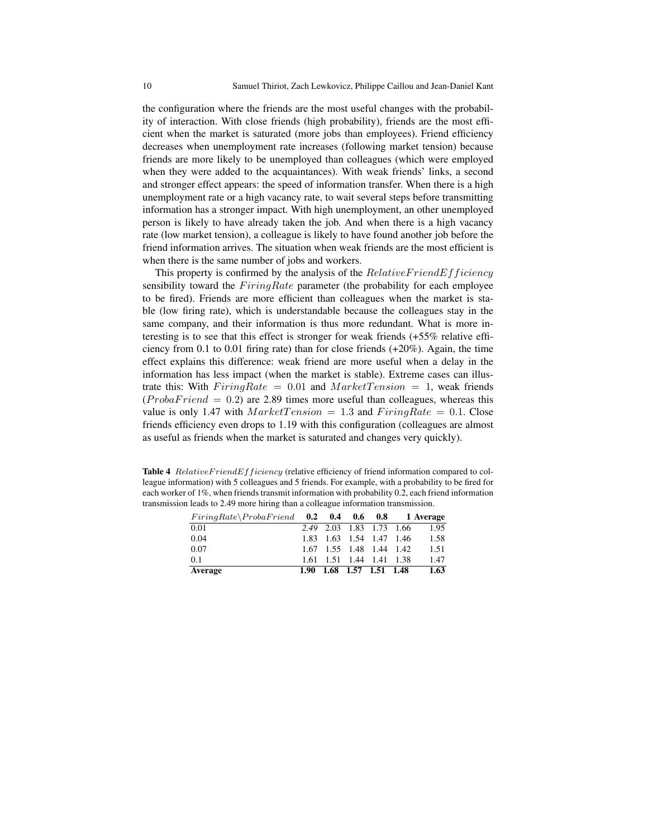the configuration where the friends are the most useful changes with the probability of interaction. With close friends (high probability), friends are the most efficient when the market is saturated (more jobs than employees). Friend efficiency decreases when unemployment rate increases (following market tension) because friends are more likely to be unemployed than colleagues (which were employed when they were added to the acquaintances). With weak friends' links, a second and stronger effect appears: the speed of information transfer. When there is a high unemployment rate or a high vacancy rate, to wait several steps before transmitting information has a stronger impact. With high unemployment, an other unemployed person is likely to have already taken the job. And when there is a high vacancy rate (low market tension), a colleague is likely to have found another job before the friend information arrives. The situation when weak friends are the most efficient is when there is the same number of jobs and workers.

This property is confirmed by the analysis of the  $Relative FriendEfficiency$ sensibility toward the  $FiringRate$  parameter (the probability for each employee to be fired). Friends are more efficient than colleagues when the market is stable (low firing rate), which is understandable because the colleagues stay in the same company, and their information is thus more redundant. What is more interesting is to see that this effect is stronger for weak friends (+55% relative efficiency from 0.1 to 0.01 firing rate) than for close friends  $(+20\%)$ . Again, the time effect explains this difference: weak friend are more useful when a delay in the information has less impact (when the market is stable). Extreme cases can illustrate this: With  $FiringRate = 0.01$  and  $MarketTension = 1$ , weak friends  $(ProbaFriend = 0.2)$  are 2.89 times more useful than colleagues, whereas this value is only 1.47 with  $Market Tension = 1.3$  and  $FiringRate = 0.1$ . Close friends efficiency even drops to 1.19 with this configuration (colleagues are almost as useful as friends when the market is saturated and changes very quickly).

Table 4 RelativeFriendEfficiency (relative efficiency of friend information compared to colleague information) with 5 colleagues and 5 friends. For example, with a probability to be fired for each worker of 1%, when friends transmit information with probability 0.2, each friend information transmission leads to 2.49 more hiring than a colleague information transmission.

| $FiringRate \langle ProbaFriend \quad 0.2 \quad 0.4 \quad 0.6 \quad 0.8 \quad 1 \text{ Average}$ |  |                          |      |
|--------------------------------------------------------------------------------------------------|--|--------------------------|------|
| 0.01                                                                                             |  | 2.49 2.03 1.83 1.73 1.66 | 1.95 |
| 0.04                                                                                             |  | 1.83 1.63 1.54 1.47 1.46 | 1.58 |
| 0.07                                                                                             |  | 1.67 1.55 1.48 1.44 1.42 | 1.51 |
| 0.1                                                                                              |  | 1.61 1.51 1.44 1.41 1.38 | 1.47 |
| Average                                                                                          |  | 1.90 1.68 1.57 1.51 1.48 | 1.63 |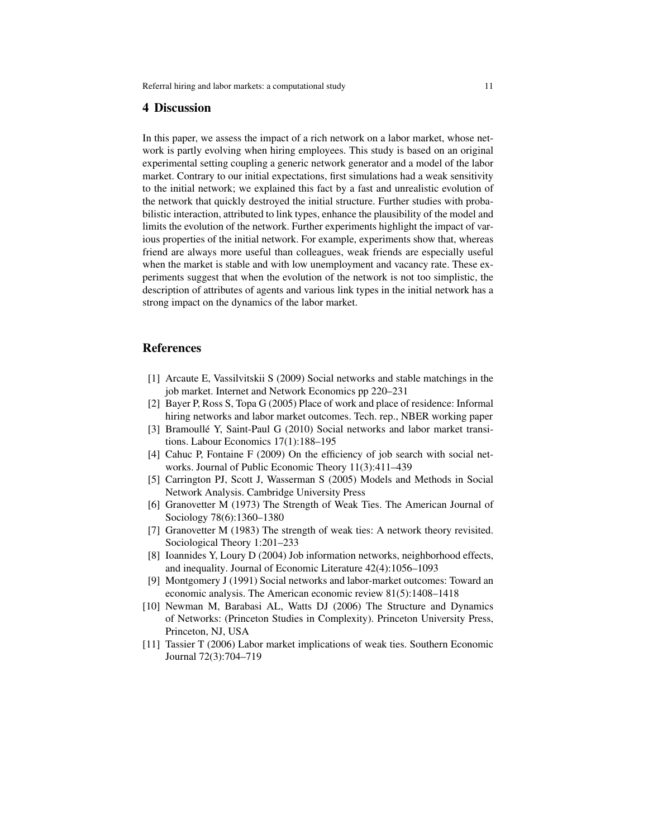#### 4 Discussion

In this paper, we assess the impact of a rich network on a labor market, whose network is partly evolving when hiring employees. This study is based on an original experimental setting coupling a generic network generator and a model of the labor market. Contrary to our initial expectations, first simulations had a weak sensitivity to the initial network; we explained this fact by a fast and unrealistic evolution of the network that quickly destroyed the initial structure. Further studies with probabilistic interaction, attributed to link types, enhance the plausibility of the model and limits the evolution of the network. Further experiments highlight the impact of various properties of the initial network. For example, experiments show that, whereas friend are always more useful than colleagues, weak friends are especially useful when the market is stable and with low unemployment and vacancy rate. These experiments suggest that when the evolution of the network is not too simplistic, the description of attributes of agents and various link types in the initial network has a strong impact on the dynamics of the labor market.

#### References

- [1] Arcaute E, Vassilvitskii S (2009) Social networks and stable matchings in the job market. Internet and Network Economics pp 220–231
- [2] Bayer P, Ross S, Topa G (2005) Place of work and place of residence: Informal hiring networks and labor market outcomes. Tech. rep., NBER working paper
- [3] Bramoullé Y, Saint-Paul G (2010) Social networks and labor market transitions. Labour Economics 17(1):188–195
- [4] Cahuc P, Fontaine F (2009) On the efficiency of job search with social networks. Journal of Public Economic Theory 11(3):411–439
- [5] Carrington PJ, Scott J, Wasserman S (2005) Models and Methods in Social Network Analysis. Cambridge University Press
- [6] Granovetter M (1973) The Strength of Weak Ties. The American Journal of Sociology 78(6):1360–1380
- [7] Granovetter M (1983) The strength of weak ties: A network theory revisited. Sociological Theory 1:201–233
- [8] Ioannides Y, Loury D (2004) Job information networks, neighborhood effects, and inequality. Journal of Economic Literature 42(4):1056–1093
- [9] Montgomery J (1991) Social networks and labor-market outcomes: Toward an economic analysis. The American economic review 81(5):1408–1418
- [10] Newman M, Barabasi AL, Watts DJ (2006) The Structure and Dynamics of Networks: (Princeton Studies in Complexity). Princeton University Press, Princeton, NJ, USA
- [11] Tassier T (2006) Labor market implications of weak ties. Southern Economic Journal 72(3):704–719